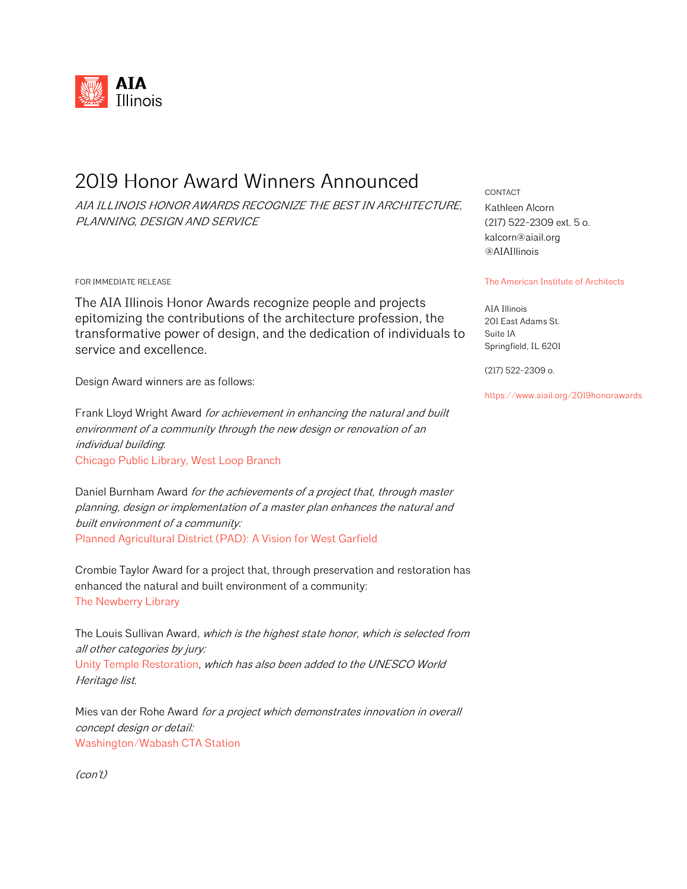

## 2019 Honor Award Winners Announced

AIA ILLINOIS HONOR AWARDS RECOGNIZE THE BEST IN ARCHITECTURE, PLANNING, DESIGN AND SERVICE

FOR IMMEDIATE RELEASE

The AIA Illinois Honor Awards recognize people and projects epitomizing the contributions of the architecture profession, the transformative power of design, and the dedication of individuals to service and excellence.

Design Award winners are as follows:

Frank Lloyd Wright Award for achievement in enhancing the natural and built environment of a community through the new design or renovation of an individual building: Chicago Public Library, West Loop Branch

Daniel Burnham Award for the achievements of a project that, through master planning, design or implementation of a master plan enhances the natural and built environment of a community: Planned Agricultural District (PAD): A Vision for West Garfield

Crombie Taylor Award for a project that, through preservation and restoration has enhanced the natural and built environment of a community: The Newberry Library

The Louis Sullivan Award, which is the highest state honor, which is selected from all other categories by jury: Unity Temple Restoration, which has also been added to the UNESCO World Heritage list.

Mies van der Rohe Award for a project which demonstrates innovation in overall concept design or detail: Washington/Wabash CTA Station

(con't)

CONTACT Kathleen Alcorn (217) 522-2309 ext. 5 o. kalcorn@aiail.org @AIAIllinois

## The American Institute of Architects

AIA Illinois 201 East Adams St. Suite 1A Springfield, IL 6201

(217) 522-2309 o.

https://www.aiail.org/2019honorawards